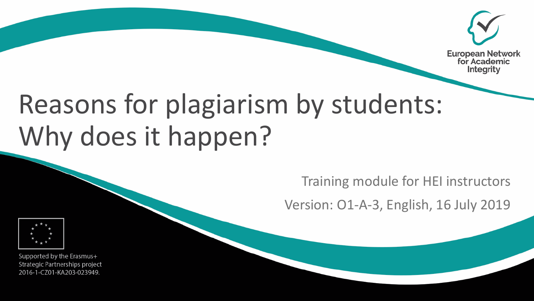

# Reasons for plagiarism by students: Why does it happen?

Training module for HEI instructors

Version: O1-A-3, English, 16 July 2019



Supported by the Erasmus+ Strategic Partnerships project 2016-1-CZ01-KA203-023949.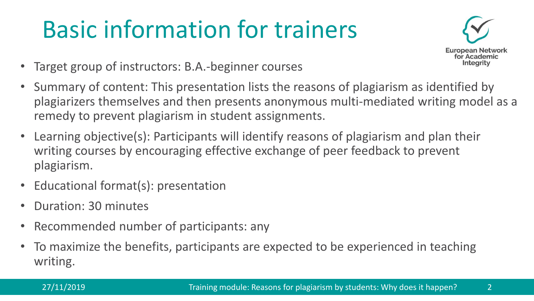# Basic information for trainers



- Target group of instructors: B.A.-beginner courses
- Summary of content: This presentation lists the reasons of plagiarism as identified by plagiarizers themselves and then presents anonymous multi-mediated writing model as a remedy to prevent plagiarism in student assignments.
- Learning objective(s): Participants will identify reasons of plagiarism and plan their writing courses by encouraging effective exchange of peer feedback to prevent plagiarism.
- Educational format(s): presentation
- Duration: 30 minutes
- Recommended number of participants: any
- To maximize the benefits, participants are expected to be experienced in teaching writing.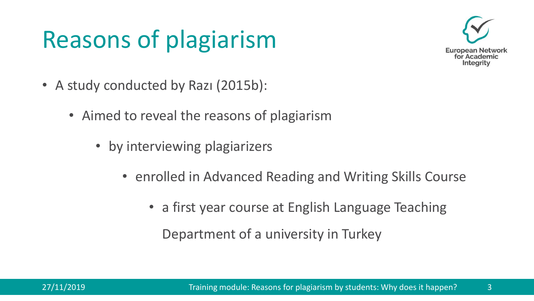# Reasons of plagiarism



- A study conducted by Razi (2015b):
	- Aimed to reveal the reasons of plagiarism
		- by interviewing plagiarizers
			- enrolled in Advanced Reading and Writing Skills Course
				- a first year course at English Language Teaching Department of a university in Turkey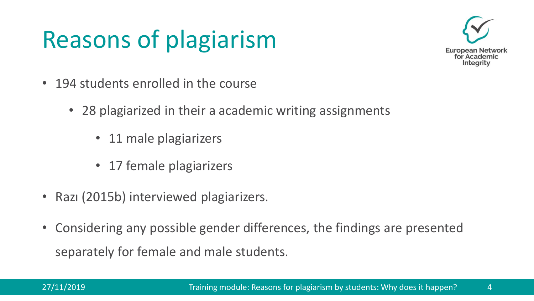# Reasons of plagiarism



- 194 students enrolled in the course
	- 28 plagiarized in their a academic writing assignments
		- 11 male plagiarizers
		- 17 female plagiarizers
- Razı (2015b) interviewed plagiarizers.
- Considering any possible gender differences, the findings are presented separately for female and male students.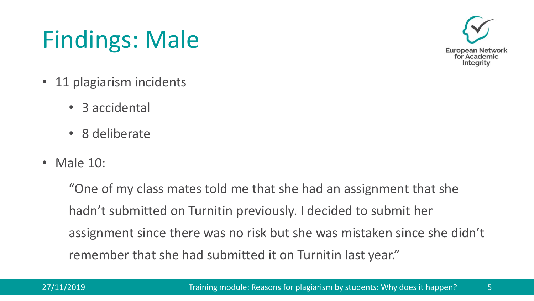# Findings: Male



- 11 plagiarism incidents
	- 3 accidental
	- 8 deliberate
- Male 10:

"One of my class mates told me that she had an assignment that she hadn't submitted on Turnitin previously. I decided to submit her assignment since there was no risk but she was mistaken since she didn't remember that she had submitted it on Turnitin last year."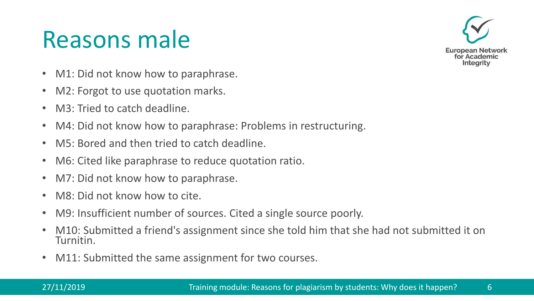## Reasons male



- M1: Did not know how to paraphrase.
- M2: Forgot to use quotation marks.
- M3: Tried to catch deadline.
- M4: Did not know how to paraphrase: Problems in restructuring.
- M5: Bored and then tried to catch deadline.
- M6: Cited like paraphrase to reduce quotation ratio.
- M7: Did not know how to paraphrase.
- M8: Did not know how to cite.
- M9: Insufficient number of sources. Cited a single source poorly.
- M10: Submitted a friend's assignment since she told him that she had not submitted it on Turnitin.
- M11: Submitted the same assignment for two courses.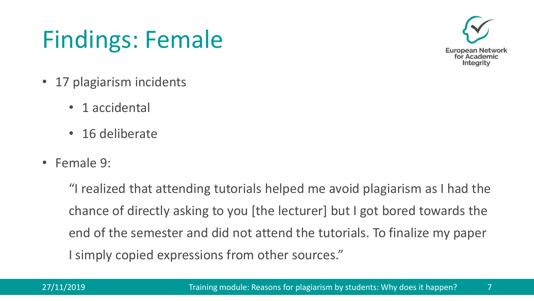# Findings: Female



- 17 plagiarism incidents
	- 1 accidental
	- 16 deliberate
- Female 9:

"I realized that attending tutorials helped me avoid plagiarism as I had the chance of directly asking to you [the lecturer] but I got bored towards the end of the semester and did not attend the tutorials. To finalize my paper I simply copied expressions from other sources."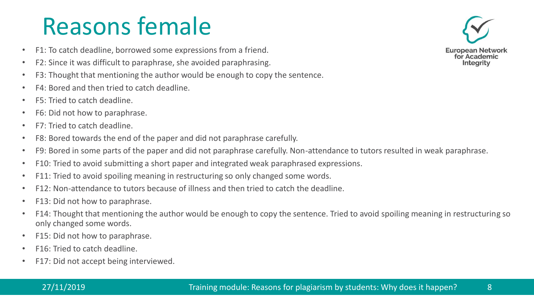## Reasons female

- F1: To catch deadline, borrowed some expressions from a friend.
- F2: Since it was difficult to paraphrase, she avoided paraphrasing.
- F3: Thought that mentioning the author would be enough to copy the sentence.
- F4: Bored and then tried to catch deadline.
- F5: Tried to catch deadline.
- F6: Did not how to paraphrase.
- F7: Tried to catch deadline.
- F8: Bored towards the end of the paper and did not paraphrase carefully.
- F9: Bored in some parts of the paper and did not paraphrase carefully. Non-attendance to tutors resulted in weak paraphrase.
- F10: Tried to avoid submitting a short paper and integrated weak paraphrased expressions.
- F11: Tried to avoid spoiling meaning in restructuring so only changed some words.
- F12: Non-attendance to tutors because of illness and then tried to catch the deadline.
- F13: Did not how to paraphrase.
- F14: Thought that mentioning the author would be enough to copy the sentence. Tried to avoid spoiling meaning in restructuring so only changed some words.
- F15: Did not how to paraphrase.
- F16: Tried to catch deadline.
- F17: Did not accept being interviewed.

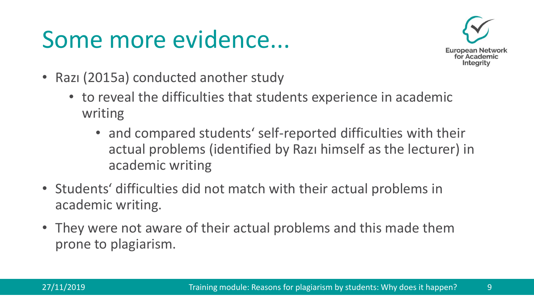## Some more evidence...



- Razı (2015a) conducted another study
	- to reveal the difficulties that students experience in academic writing
		- and compared students' self-reported difficulties with their actual problems (identified by Razı himself as the lecturer) in academic writing
- Students' difficulties did not match with their actual problems in academic writing.
- They were not aware of their actual problems and this made them prone to plagiarism.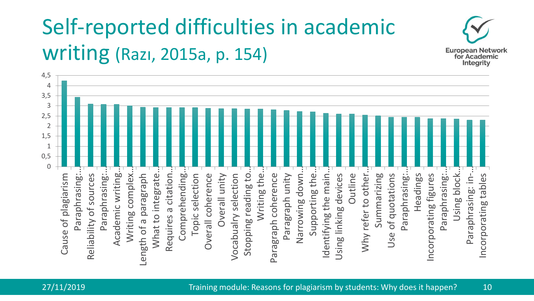#### Self-reported difficulties in academic writing (Razı, 2015a, p. 154)



**European Network** for Academic Integrity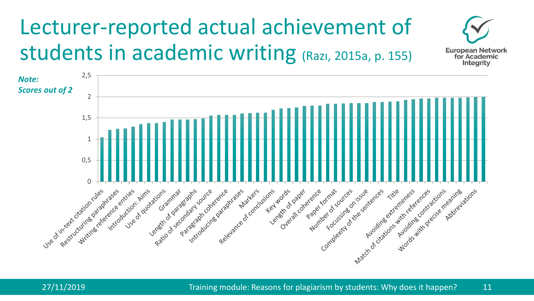#### Lecturer-reported actual achievement of students in academic writing (Razı, 2015a, p. 155)





**European Network** for Academic Integrity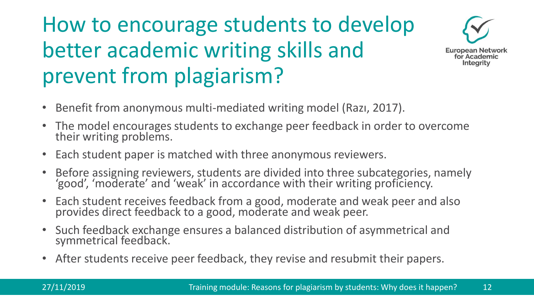#### How to encourage students to develop better academic writing skills and prevent from plagiarism?



- Benefit from anonymous multi-mediated writing model (Razı, 2017).
- The model encourages students to exchange peer feedback in order to overcome their writing problems.
- Each student paper is matched with three anonymous reviewers.
- Before assigning reviewers, students are divided into three subcategories, namely 'good', 'moderate' and 'weak' in accordance with their writing proficiency.
- Each student receives feedback from a good, moderate and weak peer and also provides direct feedback to a good, moderate and weak peer.
- Such feedback exchange ensures a balanced distribution of asymmetrical and symmetrical feedback.
- After students receive peer feedback, they revise and resubmit their papers.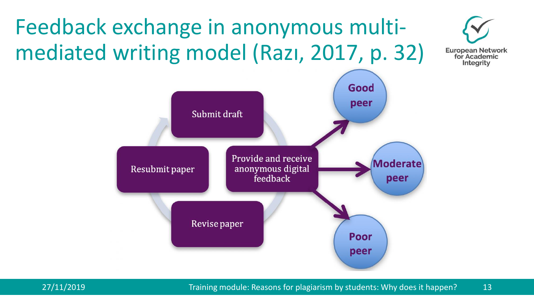#### Feedback exchange in anonymous multimediated writing model (Razı, 2017, p. 32)





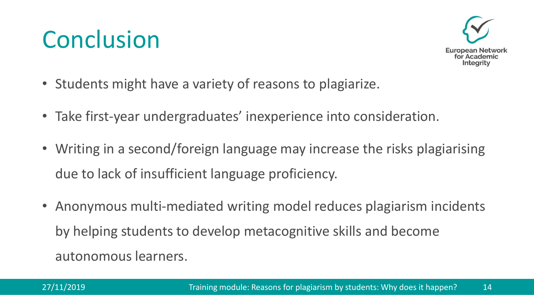## **Conclusion**



- Students might have a variety of reasons to plagiarize.
- Take first-year undergraduates' inexperience into consideration.
- Writing in a second/foreign language may increase the risks plagiarising due to lack of insufficient language proficiency.
- Anonymous multi-mediated writing model reduces plagiarism incidents by helping students to develop metacognitive skills and become autonomous learners.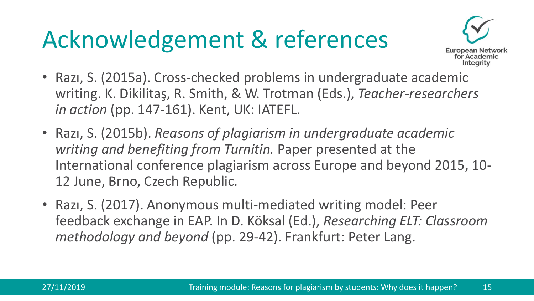# Acknowledgement & references



- Razı, S. (2015a). Cross-checked problems in undergraduate academic writing. K. Dikilitaş, R. Smith, & W. Trotman (Eds.), *Teacher-researchers in action* (pp. 147-161). Kent, UK: IATEFL.
- Razı, S. (2015b). *Reasons of plagiarism in undergraduate academic writing and benefiting from Turnitin.* Paper presented at the International conference plagiarism across Europe and beyond 2015, 10- 12 June, Brno, Czech Republic.
- Razı, S. (2017). Anonymous multi-mediated writing model: Peer feedback exchange in EAP. In D. Köksal (Ed.), *Researching ELT: Classroom methodology and beyond* (pp. 29-42). Frankfurt: Peter Lang.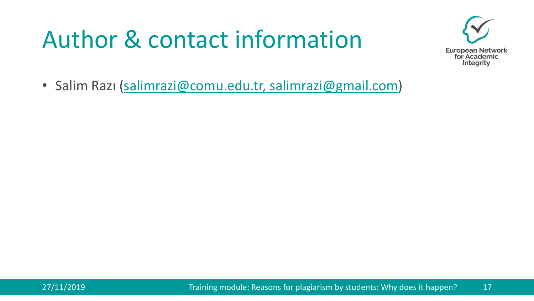## Author & contact information



• Salim Razı ([salimrazi@comu.edu.tr, salimrazi@gmail.com](mailto:salimrazi@gmail.com)))